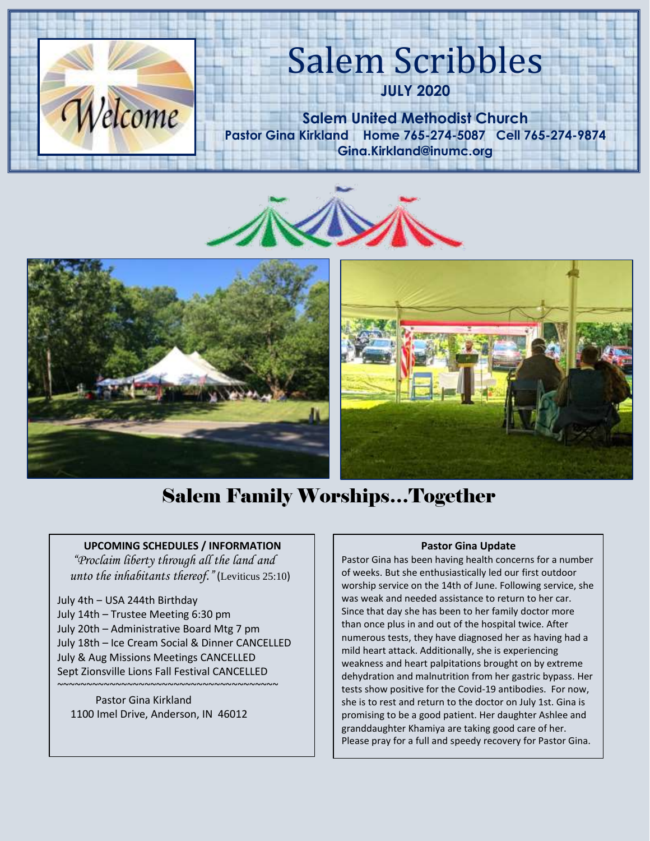

# Salem Scribbles

**JULY 2020**

**Salem United Methodist Church Pastor Gina Kirkland Home 765-274-5087 Cell 765-274-9874 Gina.Kirkland@inumc.org**







# Salem Family Worships…Together

 **UPCOMING SCHEDULES / INFORMATION**

 *"Proclaim liberty through all the land and unto the inhabitants thereof."* (Leviticus 25:10)

July 4th ‒ USA 244th Birthday July 14th – Trustee Meeting 6:30 pm July 20th – Administrative Board Mtg 7 pm July 18th – Ice Cream Social & Dinner CANCELLED July & Aug Missions Meetings CANCELLED Sept Zionsville Lions Fall Festival CANCELLED

Pastor Gina Kirkland 1100 Imel Drive, Anderson, IN 46012

~~~~~~~~~~~~~~~~~~~~~~~~~~~~~~~~~~~~~~

### **Pastor Gina Update**

Pastor Gina has been having health concerns for a number of weeks. But she enthusiastically led our first outdoor worship service on the 14th of June. Following service, she was weak and needed assistance to return to her car. Since that day she has been to her family doctor more than once plus in and out of the hospital twice. After numerous tests, they have diagnosed her as having had a mild heart attack. Additionally, she is experiencing weakness and heart palpitations brought on by extreme dehydration and malnutrition from her gastric bypass. Her tests show positive for the Covid-19 antibodies. For now, she is to rest and return to the doctor on July 1st. Gina is promising to be a good patient. Her daughter Ashlee and granddaughter Khamiya are taking good care of her. Please pray for a full and speedy recovery for Pastor Gina.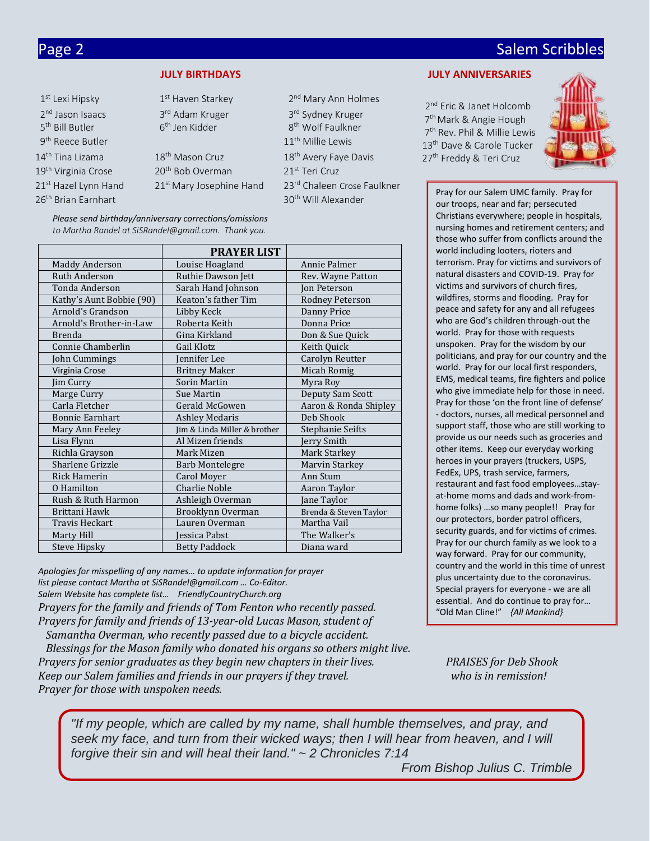# Page 2 Salem Scribbles and Contract Contract Contract Contract Contract Contract Contract Contract Contract Co

|  | <b>JULY BIRTHDAYS</b> |  |
|--|-----------------------|--|
|  |                       |  |

| 1 <sup>st</sup> Lexi Hipsky     | 1 <sup>st</sup> Haven Starkey        | 2 <sup>nd</sup> Mary Ann Holmes   |
|---------------------------------|--------------------------------------|-----------------------------------|
| 2 <sup>nd</sup> Jason Isaacs    | 3rd Adam Kruger                      | 3rd Sydney Kruger                 |
| 5 <sup>th</sup> Bill Butler     | 6 <sup>th</sup> Jen Kidder           | 8 <sup>th</sup> Wolf Faulkner     |
| 9 <sup>th</sup> Reece Butler    |                                      | 11 <sup>th</sup> Millie Lewis     |
| 14 <sup>th</sup> Tina Lizama    | 18 <sup>th</sup> Mason Cruz          | 18 <sup>th</sup> Avery Faye Davis |
| 19 <sup>th</sup> Virginia Crose | 20 <sup>th</sup> Bob Overman         | 21 <sup>st</sup> Teri Cruz        |
| 21st Hazel Lynn Hand            | 21 <sup>st</sup> Mary Josephine Hand | 23rd Chaleen Crose Faulkner       |
| 26 <sup>th</sup> Brian Earnhart |                                      | 30 <sup>th</sup> Will Alexander   |

*Please send birthday/anniversary corrections/omissions* to Martha Randel at SiSRandel@gmail.com. Thank you.

|                          |                              |                        | בווטאכ אווט אמונכו ווטווו נטוווונגא מוטמוומ נווכ                                 |  |
|--------------------------|------------------------------|------------------------|----------------------------------------------------------------------------------|--|
|                          | <b>PRAYER LIST</b>           |                        | world including looters, rioters and                                             |  |
| <b>Maddy Anderson</b>    | Louise Hoagland              | Annie Palmer           | terrorism. Pray for victims and survivors of                                     |  |
| Ruth Anderson            | Ruthie Dawson Jett           | Rev. Wayne Patton      | natural disasters and COVID-19. Pray for                                         |  |
| Tonda Anderson           | Sarah Hand Johnson           | Jon Peterson           | victims and survivors of church fires,                                           |  |
| Kathy's Aunt Bobbie (90) | Keaton's father Tim          | Rodney Peterson        | wildfires, storms and flooding. Pray for                                         |  |
| Arnold's Grandson        | Libby Keck                   | Danny Price            | peace and safety for any and all refugees                                        |  |
| Arnold's Brother-in-Law  | Roberta Keith                | Donna Price            | who are God's children through-out the                                           |  |
| <b>Brenda</b>            | Gina Kirkland                | Don & Sue Quick        | world. Pray for those with requests                                              |  |
| Connie Chamberlin        | Gail Klotz                   | Keith Quick            | unspoken. Pray for the wisdom by our                                             |  |
| John Cummings            | Jennifer Lee                 | Carolyn Reutter        | politicians, and pray for our country and the                                    |  |
| Virginia Crose           | <b>Britney Maker</b>         | Micah Romig            | world. Pray for our local first responders,                                      |  |
| Jim Curry                | Sorin Martin                 | Myra Roy               | EMS, medical teams, fire fighters and police                                     |  |
| Marge Curry              | Sue Martin                   | Deputy Sam Scott       | who give immediate help for those in need                                        |  |
| Carla Fletcher           | Gerald McGowen               | Aaron & Ronda Shipley  | Pray for those 'on the front line of defense'                                    |  |
| <b>Bonnie Earnhart</b>   | Ashley Medaris               | Deb Shook              | - doctors, nurses, all medical personnel and                                     |  |
| Mary Ann Feeley          | Jim & Linda Miller & brother | Stephanie Seifts       | support staff, those who are still working to                                    |  |
| Lisa Flynn               | Al Mizen friends             | Jerry Smith            | provide us our needs such as groceries and                                       |  |
| Richla Grayson           | Mark Mizen                   | Mark Starkey           | other items. Keep our everyday working                                           |  |
| Sharlene Grizzle         | <b>Barb Montelegre</b>       | Marvin Starkey         | heroes in your prayers (truckers, USPS,                                          |  |
| Rick Hamerin             | Carol Moyer                  | Ann Stum               | FedEx, UPS, trash service, farmers,                                              |  |
| O Hamilton               | <b>Charlie Noble</b>         | Aaron Taylor           | restaurant and fast food employeesstay-                                          |  |
| Rush & Ruth Harmon       | Ashleigh Overman             | Jane Taylor            | at-home moms and dads and work-from-                                             |  |
| Brittani Hawk            | Brooklynn Overman            | Brenda & Steven Taylor | home folks) so many people!! Pray for                                            |  |
| Travis Heckart           | Lauren Overman               | Martha Vail            | our protectors, border patrol officers,                                          |  |
| Marty Hill               | Jessica Pabst                | The Walker's           | security guards, and for victims of crimes.                                      |  |
| Steve Hipsky             | <b>Betty Paddock</b>         | Diana ward             | Pray for our church family as we look to a<br>way forward Dray for our community |  |

*Apologies for misspelling of any names… to update information for prayer list please contact Martha at SiSRandel@gmail.com … Co-Editor. Salem Website has complete list… FriendlyCountryChurch.org Prayers for the family and friends of Tom Fenton who recently passed. Prayers for family and friends of 13-year-old Lucas Mason, student of Samantha Overman, who recently passed due to a bicycle accident. Blessings for the Mason family who donated his organs so others might live. Prayers for senior graduates as they begin new chapters in their lives. PRAISES for Deb Shook Keep our Salem families and friends in our prayers if they travel. who is in remission! Prayer for those with unspoken needs.*

### **JULY ANNIVERSARIES**

2<sup>nd</sup> Eric & Janet Holcomb 7<sup>th</sup> Mark & Angie Hough 7<sup>th</sup> Rev. Phil & Millie Le[wis](https://www.faithclipart.com/fca/affiliate.do?id=58&coupon=christmas) 13<sup>th</sup> Dave & Carole Tucker 27<sup>th</sup> Freddy & Teri Cruz



Pray for our Salem UMC family. Pray for our troops, near and far; persecuted Christians everywhere; people in hospitals, nursing homes and retirement centers; and those who suffer from conflicts around the world. Pray for those with requests unspoken. Pray for the wisdom by our politicians, and pray for our country and the world. Pray for our local first responders, EMS, medical teams, fire fighters and police who give immediate help for those in need. Pray for those 'on the front line of defense' - doctors, nurses, all medical personnel and support staff, those who are still working to provide us our needs such as groceries and other items. Keep our everyday working heroes in your prayers (truckers, USPS, FedEx, UPS, trash service, farmers, restaurant and fast food employees…stayat-home moms and dads and work-fromhome folks) …so many people!! Pray for our protectors, border patrol officers, security guards, and for victims of crimes. Pray for our church family as we look to a way forward. Pray for our community, country and the world in this time of unrest plus uncertainty due to the coronavirus. Special prayers for everyone - we are all essential. And do continue to pray for… "Old Man Cline!" *{All Mankind}*

*"If my people, which are called by my name, shall humble themselves, and pray, and seek my face, and turn from their wicked ways; then I will hear from heaven, and I will forgive their sin and will heal their land." ~ 2 Chronicles 7:14*

 *From Bishop Julius C. Trimble*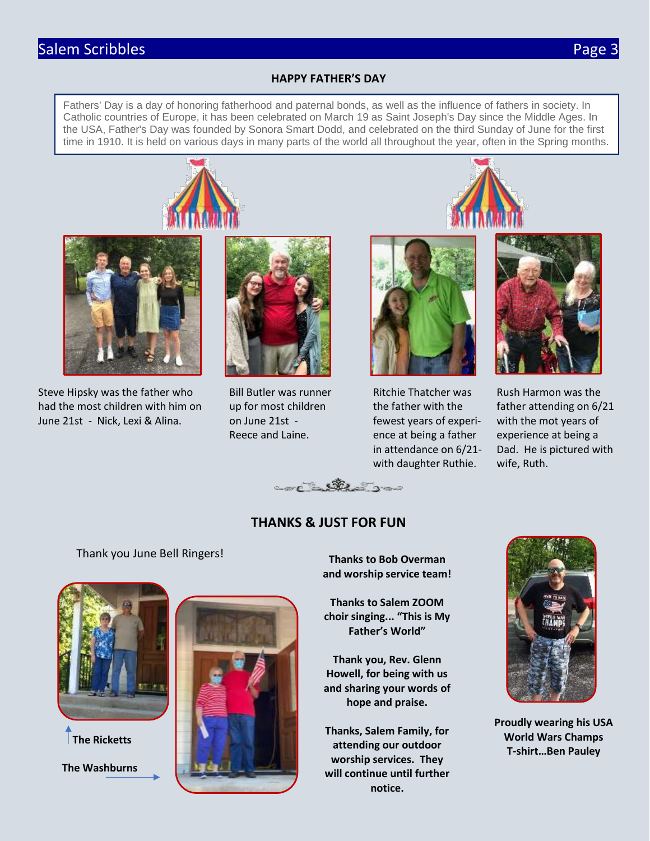# Salem Scribbles **Page 3**

### **HAPPY FATHER'S DAY**

Fathers' Day is a day of honoring fatherhood and paternal bonds, as well as the influence of fathers in society. In Catholic countries of Europe, it has been celebrated on March 19 as Saint Joseph's Day since the Middle Ages. In the USA, Father's Day was founded by Sonora Smart Dodd, and celebrated on the third Sunday of June for the first time in 1910. It is held on various days in many parts of the world all throughout the year, often in the Spring months.





Steve Hipsky was the father who Bill Butler was runner Ritchie Thatcher was Rush Harmon was the had the most children with him on up for most children the father with the father attending on 6/21 June 21st - Nick, Lexi & Alina. on June 21st - fewest years of experi- with the mot years of





Reece and Laine. ence at being a father experience at being a with daughter Ruthie. wife, Ruth.



in attendance on 6/21- Dad. He is pictured with



## **THANKS & JUST FOR FUN**

### Thank you June Bell Ringers!



 **The Ricketts**

 **The Washburns**



**Thanks to Bob Overman and worship service team!**

**Thanks to Salem ZOOM choir singing... "This is My Father's World"**

**Thank you, Rev. Glenn Howell, for being with us and sharing your words of hope and praise.**

**Thanks, Salem Family, for attending our outdoor worship services. They will continue until further notice.**



**Proudly wearing his USA World Wars Champs T-shirt…Ben Pauley**